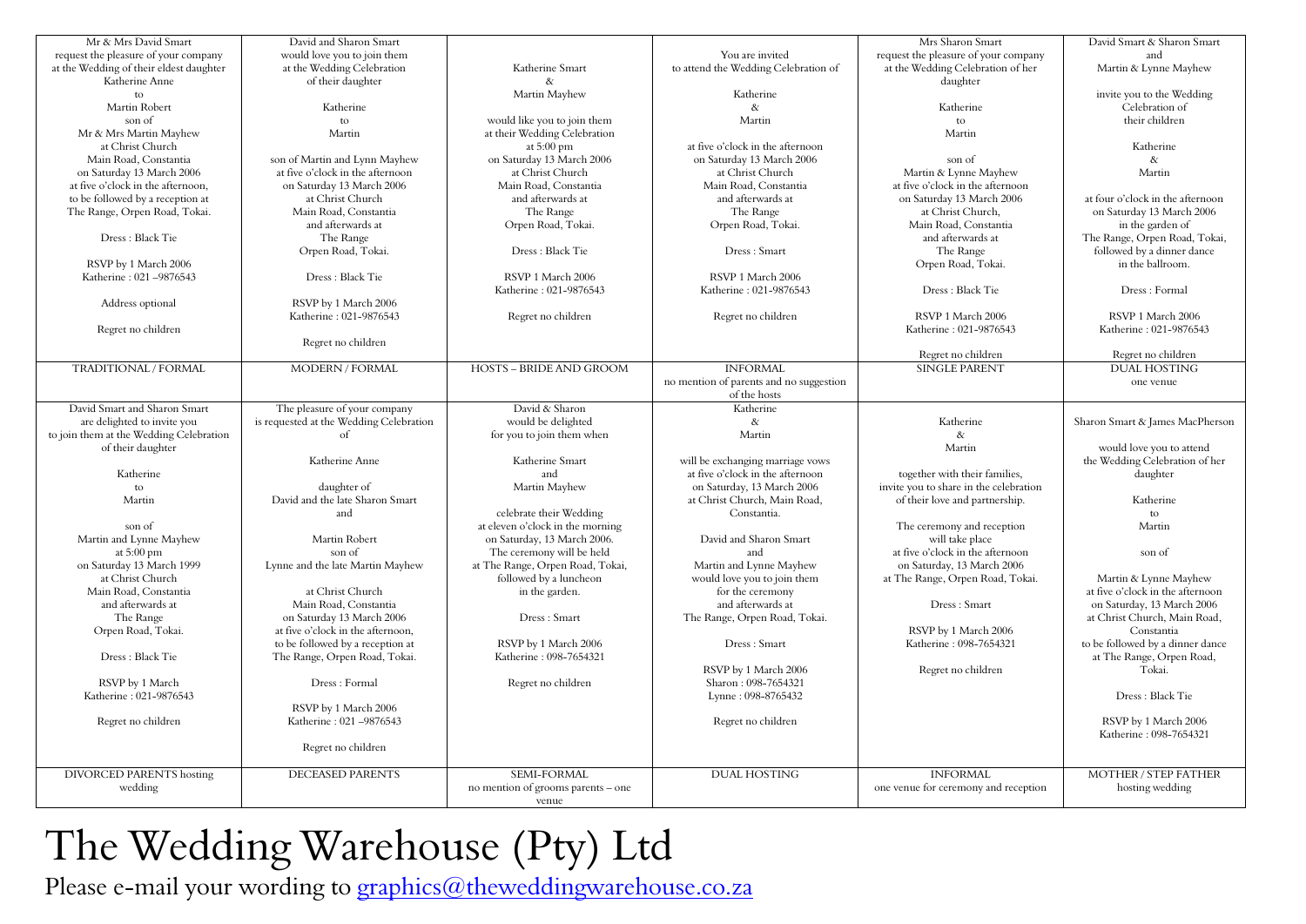| Mr & Mrs David Smart                    | David and Sharon Smart                  |                                    |                                         | Mrs Sharon Smart                       | David Smart & Sharon Smart       |
|-----------------------------------------|-----------------------------------------|------------------------------------|-----------------------------------------|----------------------------------------|----------------------------------|
| request the pleasure of your company    | would love you to join them             |                                    | You are invited                         | request the pleasure of your company   | and                              |
| at the Wedding of their eldest daughter | at the Wedding Celebration              | Katherine Smart                    | to attend the Wedding Celebration of    | at the Wedding Celebration of her      | Martin & Lynne Mayhew            |
| Katherine Anne                          | of their daughter                       |                                    |                                         | daughter                               |                                  |
| to                                      |                                         | Martin Mayhew                      | Katherine                               |                                        | invite you to the Wedding        |
| Martin Robert                           | Katherine                               |                                    | $\&$                                    | Katherine                              | Celebration of                   |
| son of                                  | to                                      | would like you to join them        | Martin                                  | to                                     | their children                   |
| Mr & Mrs Martin Mayhew                  | Martin                                  | at their Wedding Celebration       |                                         | Martin                                 |                                  |
|                                         |                                         |                                    | at five o'clock in the afternoon        |                                        | Katherine                        |
| at Christ Church                        |                                         | at $5:00 \text{ pm}$               |                                         |                                        |                                  |
| Main Road, Constantia                   | son of Martin and Lynn Mayhew           | on Saturday 13 March 2006          | on Saturday 13 March 2006               | son of                                 | $\&$                             |
| on Saturday 13 March 2006               | at five o'clock in the afternoon        | at Christ Church                   | at Christ Church                        | Martin & Lynne Mayhew                  | Martin                           |
| at five o'clock in the afternoon,       | on Saturday 13 March 2006               | Main Road, Constantia              | Main Road, Constantia                   | at five o'clock in the afternoon       |                                  |
| to be followed by a reception at        | at Christ Church                        | and afterwards at                  | and afterwards at                       | on Saturday 13 March 2006              | at four o'clock in the afternoon |
| The Range, Orpen Road, Tokai.           | Main Road, Constantia                   | The Range                          | The Range                               | at Christ Church,                      | on Saturday 13 March 2006        |
|                                         | and afterwards at                       | Orpen Road, Tokai.                 | Orpen Road, Tokai.                      | Main Road, Constantia                  | in the garden of                 |
| Dress: Black Tie                        | The Range                               |                                    |                                         | and afterwards at                      | The Range, Orpen Road, Tokai,    |
|                                         |                                         |                                    |                                         |                                        |                                  |
|                                         | Orpen Road, Tokai.                      | Dress : Black Tie                  | Dress: Smart                            | The Range                              | followed by a dinner dance       |
| RSVP by 1 March 2006                    |                                         |                                    |                                         | Orpen Road, Tokai.                     | in the ballroom.                 |
| Katherine: 021-9876543                  | Dress: Black Tie                        | RSVP 1 March 2006                  | RSVP 1 March 2006                       |                                        |                                  |
|                                         |                                         | Katherine: 021-9876543             | Katherine: 021-9876543                  | Dress: Black Tie                       | Dress: Formal                    |
| Address optional                        | RSVP by 1 March 2006                    |                                    |                                         |                                        |                                  |
|                                         | Katherine: 021-9876543                  | Regret no children                 | Regret no children                      | RSVP 1 March 2006                      | RSVP 1 March 2006                |
| Regret no children                      |                                         |                                    |                                         | Katherine: 021-9876543                 | Katherine: 021-9876543           |
|                                         |                                         |                                    |                                         |                                        |                                  |
|                                         | Regret no children                      |                                    |                                         |                                        |                                  |
|                                         |                                         |                                    |                                         | Regret no children                     | Regret no children               |
| TRADITIONAL / FORMAL                    | <b>MODERN / FORMAL</b>                  | <b>HOSTS - BRIDE AND GROOM</b>     | <b>INFORMAL</b>                         | <b>SINGLE PARENT</b>                   | <b>DUAL HOSTING</b>              |
|                                         |                                         |                                    | no mention of parents and no suggestion |                                        | one venue                        |
|                                         |                                         |                                    | of the hosts                            |                                        |                                  |
| David Smart and Sharon Smart            | The pleasure of your company            | David & Sharon                     | Katherine                               |                                        |                                  |
| are delighted to invite you             | is requested at the Wedding Celebration | would be delighted                 | $\&$                                    | Katherine                              | Sharon Smart & James MacPherson  |
|                                         |                                         |                                    |                                         |                                        |                                  |
| to join them at the Wedding Celebration | $\sigma$ f                              | for you to join them when          | Martin                                  | $\&$                                   |                                  |
| of their daughter                       |                                         |                                    |                                         | Martin                                 | would love you to attend         |
|                                         | Katherine Anne                          | Katherine Smart                    | will be exchanging marriage vows        |                                        | the Wedding Celebration of her   |
| Katherine                               |                                         | and                                | at five o'clock in the afternoon        | together with their families,          | daughter                         |
| to                                      | daughter of                             | Martin Mayhew                      | on Saturday, 13 March 2006              | invite you to share in the celebration |                                  |
| Martin                                  | David and the late Sharon Smart         |                                    | at Christ Church, Main Road,            | of their love and partnership.         | Katherine                        |
|                                         | and                                     | celebrate their Wedding            | Constantia.                             |                                        | to                               |
|                                         |                                         | at eleven o'clock in the morning   |                                         |                                        | Martin                           |
| son of                                  |                                         |                                    |                                         | The ceremony and reception             |                                  |
| Martin and Lynne Mayhew                 | Martin Robert                           | on Saturday, 13 March 2006.        | David and Sharon Smart                  | will take place                        |                                  |
| at $5:00$ pm                            | son of                                  | The ceremony will be held          | and                                     | at five o'clock in the afternoon       | son of                           |
| on Saturday 13 March 1999               | Lynne and the late Martin Mayhew        | at The Range, Orpen Road, Tokai,   | Martin and Lynne Mayhew                 | on Saturday, 13 March 2006             |                                  |
| at Christ Church                        |                                         | followed by a luncheon             | would love you to join them             | at The Range, Orpen Road, Tokai.       | Martin & Lynne Mayhew            |
| Main Road, Constantia                   | at Christ Church                        | in the garden.                     | for the ceremony                        |                                        | at five o'clock in the afternoon |
| and afterwards at                       | Main Road, Constantia                   |                                    | and afterwards at                       | Dress: Smart                           | on Saturday, 13 March 2006       |
| The Range                               | on Saturday 13 March 2006               | Dress: Smart                       | The Range, Orpen Road, Tokai.           |                                        | at Christ Church, Main Road,     |
|                                         |                                         |                                    |                                         |                                        |                                  |
| Orpen Road, Tokai.                      | at five o'clock in the afternoon.       |                                    |                                         | RSVP by 1 March 2006                   | Constantia                       |
|                                         | to be followed by a reception at        | RSVP by 1 March 2006               | Dress: Smart                            | Katherine: 098-7654321                 | to be followed by a dinner dance |
| Dress: Black Tie                        | The Range, Orpen Road, Tokai.           | Katherine: 098-7654321             |                                         |                                        | at The Range, Orpen Road,        |
|                                         |                                         |                                    | RSVP by 1 March 2006                    | Regret no children                     | Tokai.                           |
| RSVP by 1 March                         | Dress: Formal                           | Regret no children                 | Sharon: 098-7654321                     |                                        |                                  |
| Katherine: 021-9876543                  |                                         |                                    | Lynne: 098-8765432                      |                                        | Dress: Black Tie                 |
|                                         | RSVP by 1 March 2006                    |                                    |                                         |                                        |                                  |
|                                         |                                         |                                    |                                         |                                        |                                  |
| Regret no children                      | Katherine: 021-9876543                  |                                    | Regret no children                      |                                        | RSVP by 1 March 2006             |
|                                         |                                         |                                    |                                         |                                        | Katherine: 098-7654321           |
|                                         | Regret no children                      |                                    |                                         |                                        |                                  |
|                                         |                                         |                                    |                                         |                                        |                                  |
| <b>DIVORCED PARENTS hosting</b>         | <b>DECEASED PARENTS</b>                 | SEMI-FORMAL                        | <b>DUAL HOSTING</b>                     | <b>INFORMAL</b>                        | <b>MOTHER / STEP FATHER</b>      |
| wedding                                 |                                         | no mention of grooms parents – one |                                         | one venue for ceremony and reception   | hosting wedding                  |
|                                         |                                         | venue                              |                                         |                                        |                                  |
|                                         |                                         |                                    |                                         |                                        |                                  |

## The Wedding Warehouse (Pty) Ltd

Please e-mail your wording to graphics@theweddingwarehouse.co.za